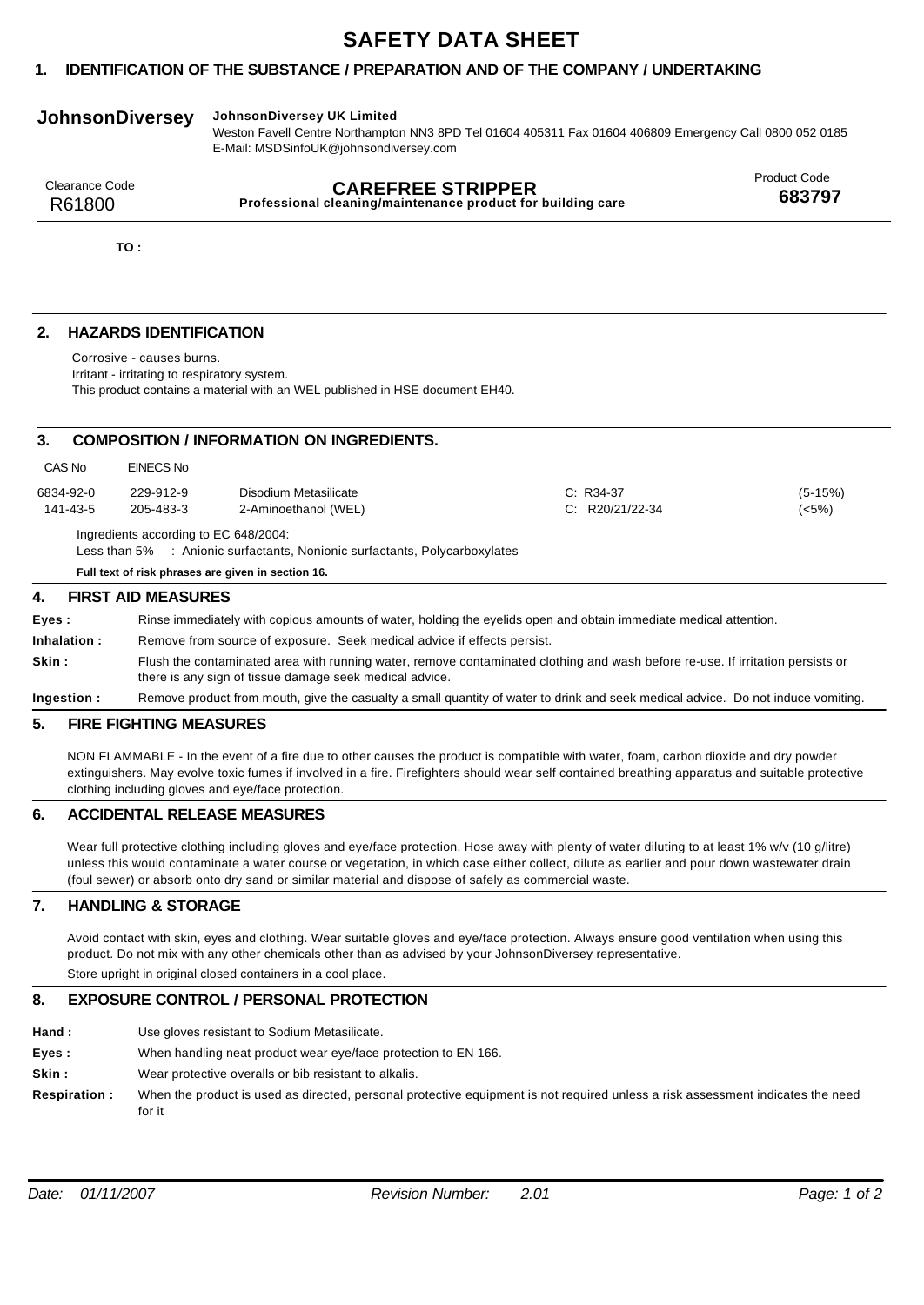# **SAFETY DATA SHEET**

# **1. IDENTIFICATION OF THE SUBSTANCE / PREPARATION AND OF THE COMPANY / UNDERTAKING**

# **JohnsonDiversey JohnsonDiversey UK Limited**

Weston Favell Centre Northampton NN3 8PD Tel 01604 405311 Fax 01604 406809 Emergency Call 0800 052 0185 E-Mail: MSDSinfoUK@johnsondiversey.com

| Clearance Code | <b>CAREFREE STRIPPER</b>                                    | <b>Product Code</b> |
|----------------|-------------------------------------------------------------|---------------------|
| R61800         | Professional cleaning/maintenance product for building care | 683797              |
|                |                                                             |                     |

**TO :**

# **2. HAZARDS IDENTIFICATION**

Corrosive - causes burns.

Irritant - irritating to respiratory system.

This product contains a material with an WEL published in HSE document EH40.

# **3. COMPOSITION / INFORMATION ON INGREDIENTS.**

| Full text of risk phrases are given in section 16.                                                                  |           |                       |                   |           |
|---------------------------------------------------------------------------------------------------------------------|-----------|-----------------------|-------------------|-----------|
| Ingredients according to EC 648/2004:<br>Less than 5% : Anionic surfactants, Nonionic surfactants, Polycarboxylates |           |                       |                   |           |
| 141-43-5                                                                                                            | 205-483-3 | 2-Aminoethanol (WEL)  | $C: R20/21/22-34$ | (<5%)     |
| 6834-92-0                                                                                                           | 229-912-9 | Disodium Metasilicate | $C: R34-37$       | $(5-15%)$ |
| CAS No                                                                                                              | EINECS No |                       |                   |           |

### **4. FIRST AID MEASURES**

| Eves :       | Rinse immediately with copious amounts of water, holding the eyelids open and obtain immediate medical attention.                                                                         |
|--------------|-------------------------------------------------------------------------------------------------------------------------------------------------------------------------------------------|
| Inhalation : | Remove from source of exposure. Seek medical advice if effects persist.                                                                                                                   |
| Skin :       | Flush the contaminated area with running water, remove contaminated clothing and wash before re-use. If irritation persists or<br>there is any sign of tissue damage seek medical advice. |
| Ingestion :  | Remove product from mouth, give the casualty a small quantity of water to drink and seek medical advice. Do not induce vomiting.                                                          |

# **5. FIRE FIGHTING MEASURES**

NON FLAMMABLE - In the event of a fire due to other causes the product is compatible with water, foam, carbon dioxide and dry powder extinguishers. May evolve toxic fumes if involved in a fire. Firefighters should wear self contained breathing apparatus and suitable protective clothing including gloves and eye/face protection.

# **6. ACCIDENTAL RELEASE MEASURES**

Wear full protective clothing including gloves and eye/face protection. Hose away with plenty of water diluting to at least 1% w/v (10 g/litre) unless this would contaminate a water course or vegetation, in which case either collect, dilute as earlier and pour down wastewater drain (foul sewer) or absorb onto dry sand or similar material and dispose of safely as commercial waste.

# **7. HANDLING & STORAGE**

Avoid contact with skin, eyes and clothing. Wear suitable gloves and eye/face protection. Always ensure good ventilation when using this product. Do not mix with any other chemicals other than as advised by your JohnsonDiversey representative.

Store upright in original closed containers in a cool place.

# **8. EXPOSURE CONTROL / PERSONAL PROTECTION**

- **Hand :** Use gloves resistant to Sodium Metasilicate.
- **Eyes :** When handling neat product wear eye/face protection to EN 166.
- **Skin :** Wear protective overalls or bib resistant to alkalis.
- **Respiration :** When the product is used as directed, personal protective equipment is not required unless a risk assessment indicates the need for it